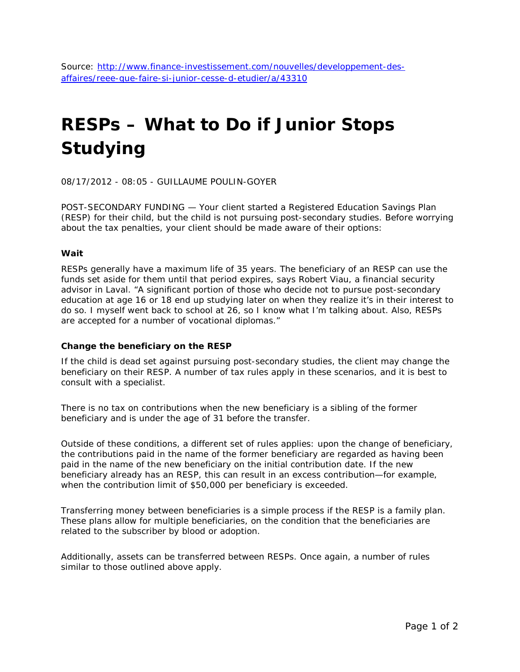# **RESPs – What to Do if Junior Stops Studying**

08/17/2012 - 08:05 - GUILLAUME POULIN-GOYER

POST-SECONDARY FUNDING — Your client started a Registered Education Savings Plan (RESP) for their child, but the child is not pursuing post-secondary studies. Before worrying about the tax penalties, your client should be made aware of their options:

## **Wait**

RESPs generally have a maximum life of 35 years. The beneficiary of an RESP can use the funds set aside for them until that period expires, says Robert Viau, a financial security advisor in Laval. "A significant portion of those who decide not to pursue post-secondary education at age 16 or 18 end up studying later on when they realize it's in their interest to do so. I myself went back to school at 26, so I know what I'm talking about. Also, RESPs are accepted for a number of vocational diplomas."

## **Change the beneficiary on the RESP**

If the child is dead set against pursuing post-secondary studies, the client may change the beneficiary on their RESP. A number of tax rules apply in these scenarios, and it is best to consult with a specialist.

There is no tax on contributions when the new beneficiary is a sibling of the former beneficiary and is under the age of 31 before the transfer.

Outside of these conditions, a different set of rules applies: upon the change of beneficiary, the contributions paid in the name of the former beneficiary are regarded as having been paid in the name of the new beneficiary on the initial contribution date. If the new beneficiary already has an RESP, this can result in an excess contribution—for example, when the contribution limit of \$50,000 per beneficiary is exceeded.

Transferring money between beneficiaries is a simple process if the RESP is a family plan. These plans allow for multiple beneficiaries, on the condition that the beneficiaries are related to the subscriber by blood or adoption.

Additionally, assets can be transferred between RESPs. Once again, a number of rules similar to those outlined above apply.